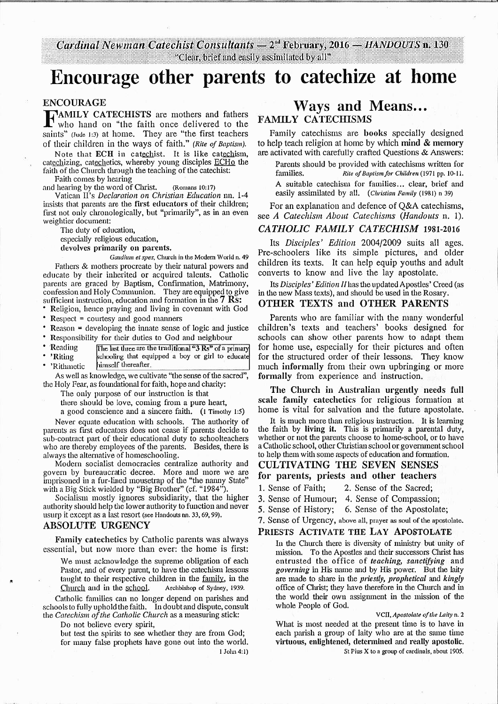Cardinal Newman Catechist Consultants - 2<sup>nd</sup> February, 2016 - HANDOUTS n. 130 "Clear, brief and easily assimilated by all"

# Encourage other parents to catechize at home

#### ENCOURAGE

FAMILY CATECHISTS are mothers and fathers who hand on "the faith once delivered to the saints" (Jude 1:3) at home. They are "the first teachers of their children in the ways of faith." *(Rite of Baptism).* 

Note that ECH in catechist. It is like catechism, catechizing, catechetics, whereby young disciples ECHo the faith of the Church through the teaching of the catechist:

Faith comes by hearing

and hearing by the word of Christ. (Romans 10:17)

Vatican II's *Declaration on Christian Education* nn. 1-4 insists that parents are the first educators of their children; first not only chronologically, but "primarily", as in an even weightier document:

The duty of education,

especially religious education,

devolves primarily on parents.

 *Gaudium et spes,* Church in the Modem World n. 49 Fathers & mothers procreate by their natural powers and educate by their inherited or acquired talents. Catholic parents are graced by Baptism, Confirmation, Matrimony, confession and Holy Conuuunion. They are equipped to give sufficient instruction, education and formation in the 7 Rs:

• Religion, hence praying and living in covenant with God

• Respect = courtesy and good manners

 • Reason = developing the innate sense of logic and justice • Responsibility for their duties to God and neighbour

• Reading The last three are the traditional "3 Rs" of a prima 'Riting schooling that equipped a boy or girl to educate

'Rithmetic himself thereafter. As well as knowledge, we cultivate "the sense of the sacred",

the Holy Fear, as foundational for faith, hope and charity:

The only purpose of our instruction is that

there should be love, coming from a pure heart,

a good conscience mid a sincere faith. (1 Timothy 1:5)

Never equate education with schools. The authority of parents as first educators does not cease if parents decide to sub-contract part of their educational duty to schoolteachers who are thereby employees of the parents. Besides, there is always the alternative of homeschooling.

 Modern socialist democracies centralize authority and govern by bureaucratic decree. More and more we are imprisoned in a fur-lined mousetrap of the "the nanny State" with a Big Stick wielded by "Big Brother" (cf. "1984").

 Socialism mostly ignores subsidiarity, that the higher authority should help the lower authority to function mid never usurp it except as a last resort (see Handouts nn. 33, 69, 99),

#### ABSOLUTE URGENCY

Family catechetics by Catholic parents was always essential, but now more than ever: the home is first:

We must acknowledge the supreme obligation of each Pastor, and of every parent, to have the catechism lessons taught to their respective children in the family, in the Church and in the school. Archbishop of Sydney, 1939.

Catholic families can no longer depend on parishes and schools to fully uphold the faith, In doubt and dispute, consult the *Catechism of the Catholic Church* as a measuring stick:

Do not believe every spirit,

 but test the spirits to see whether they are from God; for many false prophets have gone out into the world. 1 John 4:1)

# Ways and Means... FAMILY CATECHISMS

Family catechisms are books specially designed to help teach religion at home by which mind & memory are activated with carefully crafted Questions & Answers:

Parents should be provided with catechisms written for families, *Rite of Baptism/or Children* (1971 pp. 10-11. A suitable catechism for families ... clear, brief and easily assimilated by all. ( *Christian Family* (1981) n 39)

For an explanation and defence of Q&A catechisms, see *A Catechism About Catechisms (Handouts* n. 1).

## *CATHOLIC FAMILY CATECHISM* 1981-2016

Its *Disciples' Edition* 2004/2009 suits all ages. Pre-schoolers like its simple pictures, and older children its texts. It can help equip youths and adult converts to know and live the lay apostolate.

Its *Disciples' Edition II* has the updated Apostles' Creed (as in the new Mass texts), and should be used in the Rosary.

#### OTHER TEXTS and OTHER PARENTS

Parents who are familiar with the many wonderful children's texts and teachers' books designed for schools can show other parents how to adapt them for home use, especially for their pictures and often for the structured order of their lessons. They know much informally from their own upbringing or more formally from experience and instruction.

The Church in Australian urgently needs full scale family catechetics for religious formation at home is vital for salvation and the future apostolate.

It is much more than religious instruction. It is learning the faith by living it. This is primarily a parental duty, whether or not the parents choose to home-school, or to have a Catholic school, other Christian school or govenunent school to help them with some aspects of education mid formation.

#### CULTIVATING THE SEVEN SENSES for parents, priests and other teachers

- 1. Sense of Faith; 2. Sense of the Sacred;
- 3. Sense of Humour; 4. Sense of Compassion;
- *5.* Sense of History; 6. Sense of the Apostolate;
- 
- 7. Sense of Urgency, above all, prayer as soul of the apostolate.

#### PRIESTS ACTIVATE THE LAY APOSTOLATE

In the Church there is diversity of ministry but unity of mission. To the Apostles and their successors Christ has entrusted the office of *teaching, sanctifying* and *governing* in His name and by His power. But the laity are made to share in the *priestly, prophetical* and *kingly*  office of Clnist; they have therefore in the Church and in the world their own assigmnent in the mission of the whole People of God.

VCII, *Apostolate of the Laity* n. 2 What is most needed at the present time is to have in each parish a group of laity who are at the same time virtuous, enlightened, determined and really apostolic.

St Pius X to a group of cardinals, about 1905.